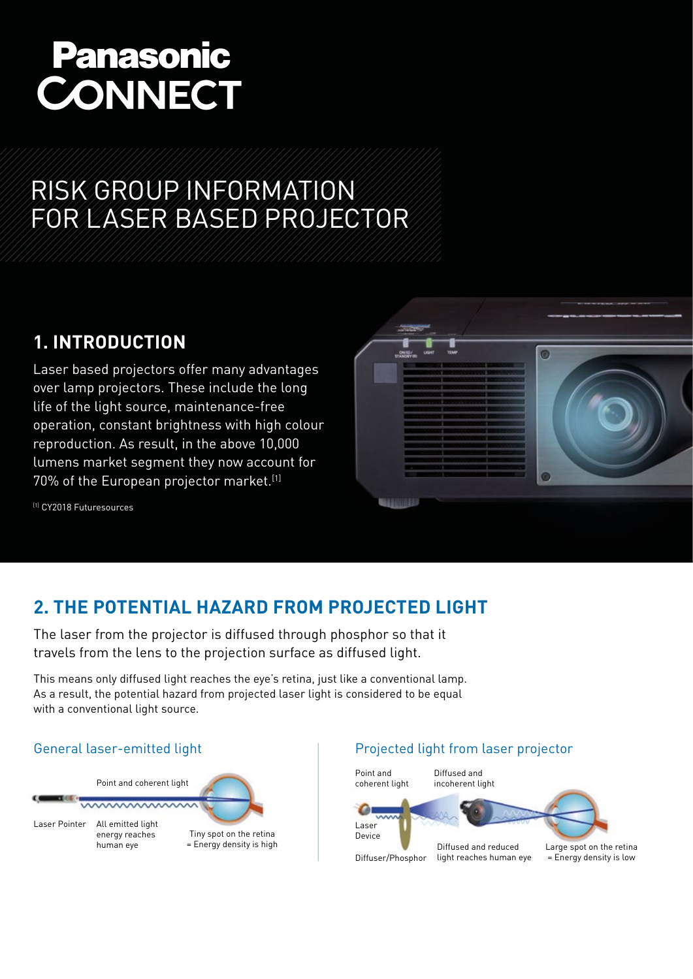# **Panasonic CONNECT**

# RISK GROUP INFORMATION FOR LASER BASED PROJECTOR

# **1. INTRODUCTION**

Laser based projectors offer many advantages over lamp projectors. These include the long life of the light source, maintenance-free operation, constant brightness with high colour reproduction. As result, in the above 10,000 lumens market segment they now account for 70% of the European projector market.[1]



[1] CY2018 Futuresources

# **2. THE POTENTIAL HAZARD FROM PROJECTED LIGHT**

The laser from the projector is diffused through phosphor so that it travels from the lens to the projection surface as diffused light.

This means only diffused light reaches the eye's retina, just like a conventional lamp. As a result, the potential hazard from projected laser light is considered to be equal with a conventional light source.



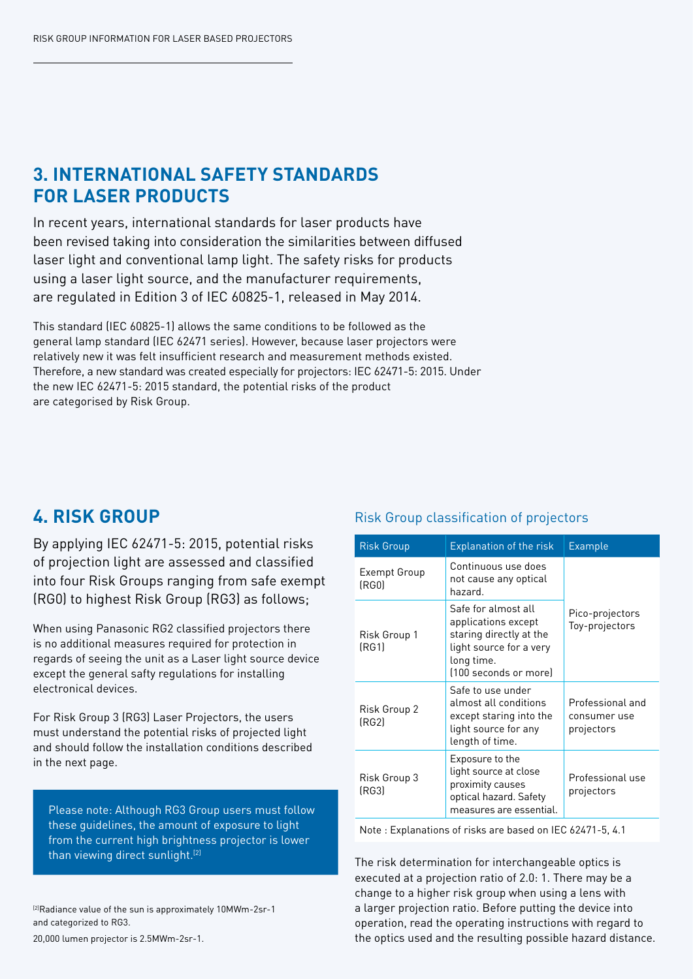### **3. INTERNATIONAL SAFETY STANDARDS FOR LASER PRODUCTS**

In recent years, international standards for laser products have been revised taking into consideration the similarities between diffused laser light and conventional lamp light. The safety risks for products using a laser light source, and the manufacturer requirements, are regulated in Edition 3 of IEC 60825-1, released in May 2014.

This standard (IEC 60825-1) allows the same conditions to be followed as the general lamp standard (IEC 62471 series). However, because laser projectors were relatively new it was felt insufficient research and measurement methods existed. Therefore, a new standard was created especially for projectors: IEC 62471-5: 2015. Under the new IEC 62471-5: 2015 standard, the potential risks of the product are categorised by Risk Group.

## **4. RISK GROUP**

By applying IEC 62471-5: 2015, potential risks of projection light are assessed and classified into four Risk Groups ranging from safe exempt (RG0) to highest Risk Group (RG3) as follows;

When using Panasonic RG2 classified projectors there is no additional measures required for protection in regards of seeing the unit as a Laser light source device except the general safty regulations for installing electronical devices.

For Risk Group 3 (RG3) Laser Projectors, the users must understand the potential risks of projected light and should follow the installation conditions described in the next page.

Please note: Although RG3 Group users must follow these guidelines, the amount of exposure to light from the current high brightness projector is lower than viewing direct sunlight.<sup>[2]</sup>

[2]Radiance value of the sun is approximately 10MWm-2sr-1 and categorized to RG3.

20,000 lumen projector is 2.5MWm-2sr-1.

### Risk Group classification of projectors

| <b>Risk Group</b>     | <b>Explanation of the risk</b>                                                                                                          | <b>Example</b>                                 |
|-----------------------|-----------------------------------------------------------------------------------------------------------------------------------------|------------------------------------------------|
| Exempt Group<br>(RGO) | Continuous use does<br>not cause any optical<br>hazard.                                                                                 |                                                |
| Risk Group 1<br>[RG1] | Safe for almost all<br>applications except<br>staring directly at the<br>light source for a very<br>long time.<br>[100 seconds or more] | Pico-projectors<br>Toy-projectors              |
| Risk Group 2<br>(RG2) | Safe to use under<br>almost all conditions<br>except staring into the<br>light source for any<br>length of time.                        | Professional and<br>consumer use<br>projectors |
| Risk Group 3<br>(RG3) | Exposure to the<br>light source at close<br>proximity causes<br>optical hazard. Safety<br>measures are essential.                       | Professional use<br>projectors                 |

Note : Explanations of risks are based on IEC 62471-5, 4.1

The risk determination for interchangeable optics is executed at a projection ratio of 2.0: 1. There may be a change to a higher risk group when using a lens with a larger projection ratio. Before putting the device into operation, read the operating instructions with regard to the optics used and the resulting possible hazard distance.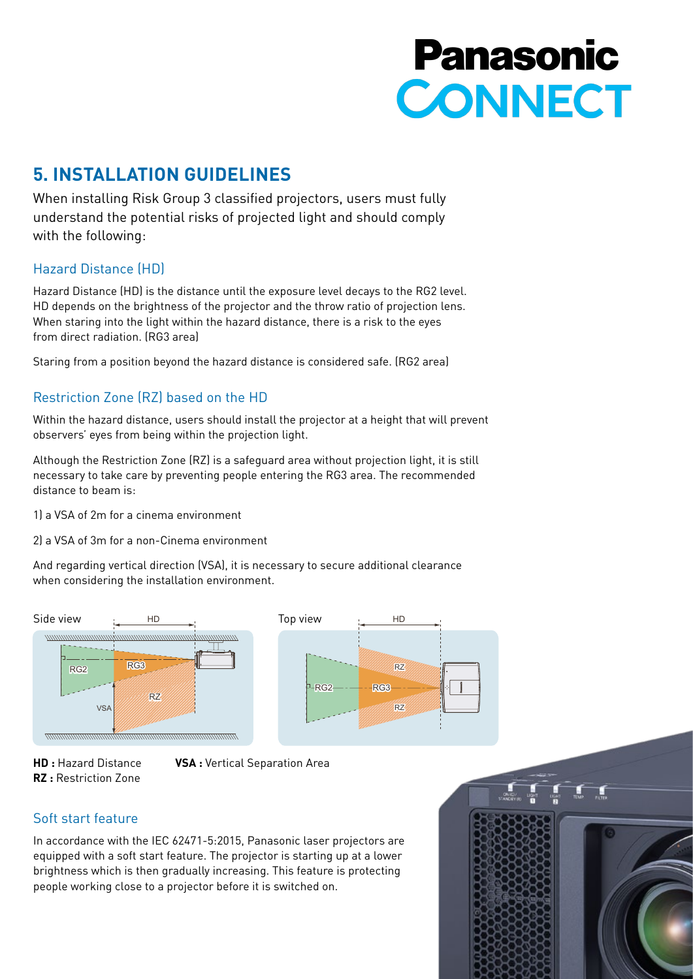# **Panasonic CONNECT**

# **5. INSTALLATION GUIDELINES**

When installing Risk Group 3 classified projectors, users must fully understand the potential risks of projected light and should comply with the following:

### Hazard Distance (HD)

Hazard Distance (HD) is the distance until the exposure level decays to the RG2 level. HD depends on the brightness of the projector and the throw ratio of projection lens. When staring into the light within the hazard distance, there is a risk to the eyes from direct radiation. (RG3 area)

Staring from a position beyond the hazard distance is considered safe. (RG2 area)

### Restriction Zone (RZ) based on the HD

Within the hazard distance, users should install the projector at a height that will prevent observers' eyes from being within the projection light.

Although the Restriction Zone (RZ) is a safeguard area without projection light, it is still necessary to take care by preventing people entering the RG3 area. The recommended distance to beam is:

1) a VSA of 2m for a cinema environment

2) a VSA of 3m for a non-Cinema environment

And regarding vertical direction (VSA), it is necessary to secure additional clearance when considering the installation environment.





: Hazard Distar **RZ :** Restriction Zone

**VSA** : Vertical Separation Area

### Soft start feature

In accordance with the IEC 62471-5:2015, Panasonic laser projectors are equipped with a soft start feature. The projector is starting up at a lower brightness which is then gradually increasing. This feature is protecting people working close to a projector before it is switched on.